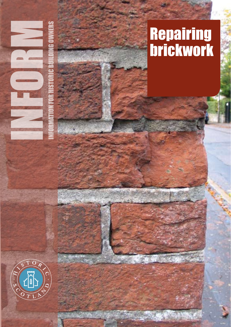

# **Repairing** brickwork

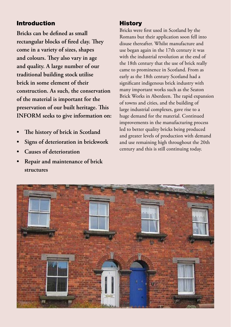## Introduction

**Bricks can be defined as small rectangular blocks of fired clay. They come in a variety of sizes, shapes and colours. They also vary in age and quality. A large number of our traditional building stock utilise brick in some element of their construction. As such, the conservation of the material is important for the preservation of our built heritage. This INFORM seeks to give information on:**

- **• The history of brick in Scotland**
- **• Signs of deterioration in brickwork**
- **• Causes of deterioration**
- **• Repair and maintenance of brick structures**

### **History**

Bricks were first used in Scotland by the Romans but their application soon fell into disuse thereafter. Whilst manufacture and use began again in the 17th century it was with the industrial revolution at the end of the 18th century that the use of brick really came to prominence in Scotland. From as early as the 18th century Scotland had a significant indigenous brick industry with many important works such as the Seaton Brick Works in Aberdeen. The rapid expansion of towns and cities, and the building of large industrial complexes, gave rise to a huge demand for the material. Continued improvements in the manufacturing process led to better quality bricks being produced and greater levels of production with demand and use remaining high throughout the 20th century and this is still continuing today.

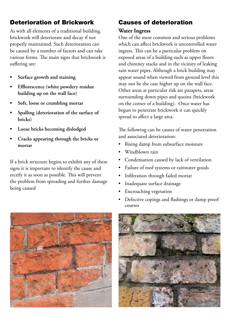# Deterioration of Brickwork

As with all elements of a traditional building, brickwork will deteriorate and decay if not properly maintained. Such deterioration can be caused by a number of factors and can take various forms. The main signs that brickwork is suffering are:

- **• Surface growth and staining**
- **• Efflorescence (white powdery residue building up on the wall face)**
- **• Soft, loose or crumbling mortar**
- **• Spalling (deterioration of the surface of bricks)**
- **• Loose bricks becoming dislodged**
- **• Cracks appearing through the bricks or mortar**

If a brick structure begins to exhibit any of these signs it is important to identify the cause and rectify it as soon as possible. This will prevent the problem from spreading and further damage being caused

# Causes of deterioration

# **Water Ingress**

One of the most common and serious problems which can affect brickwork is uncontrolled water ingress. This can be a particular problem on exposed areas of a building such as upper floors and chimney stacks and in the vicinity of leaking rain water pipes. Although a brick building may appear sound when viewed from ground level this may not be the case higher up on the wall face. Other areas at particular risk are parapets, areas surrounding down pipes and quoins (brickwork on the corner of a building). Once water has begun to penetrate brickwork it can quickly spread to affect a large area.

The following can be causes of water penetration and associated deterioration:

- Rising damp from subsurface moisture
- Windblown rain
- Condensation caused by lack of ventilation
- Failure of roof systems or rainwater goods
- Infiltration through failed mortar
- Inadequate surface drainage
- Encroaching vegetation
- Defective copings and flashings or damp proof courses



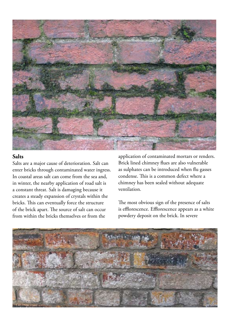

#### **Salts**

Salts are a major cause of deterioration. Salt can enter bricks through contaminated water ingress. In coastal areas salt can come from the sea and, in winter, the nearby application of road salt is a constant threat. Salt is damaging because it creates a steady expansion of crystals within the bricks. This can eventually force the structure of the brick apart. The source of salt can occur from within the bricks themselves or from the

application of contaminated mortars or renders. Brick lined chimney flues are also vulnerable as sulphates can be introduced when flu gasses condense. This is a common defect where a chimney has been sealed without adequate ventilation.

The most obvious sign of the presence of salts is efflorescence. Efflorescence appears as a white powdery deposit on the brick. In severe

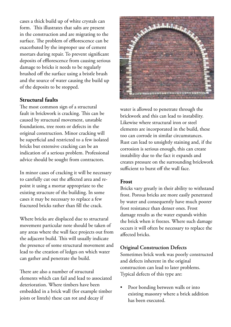cases a thick build up of white crystals can form. This illustrates that salts are present in the construction and are migrating to the surface. The problem of efflorescence can be exacerbated by the improper use of cement mortars during repair. To prevent significant deposits of efflorescence from causing serious damage to bricks it needs to be regularly brushed off the surface using a bristle brush and the source of water causing the build up of the deposits to be stopped.

#### **Structural faults**

The most common sign of a structural fault in brickwork is cracking. This can be caused by structural movement, unstable foundations, tree roots or defects in the original construction. Minor cracking will be superficial and restricted to a few isolated bricks but extensive cracking can be an indication of a serious problem. Professional advice should be sought from contractors.

In minor cases of cracking it will be necessary to carefully cut out the affected area and repoint it using a mortar appropriate to the existing structure of the building. In some cases it may be necessary to replace a few fractured bricks rather than fill the crack.

Where bricks are displaced due to structural movement particular note should be taken of any areas where the wall face projects out from the adjacent build. This will usually indicate the presence of some structural movement and lead to the creation of ledges on which water can gather and penetrate the build.

There are also a number of structural elements which can fail and lead to associated deterioration. Where timbers have been embedded in a brick wall (for example timber joists or lintels) these can rot and decay if



water is allowed to penetrate through the brickwork and this can lead to instability. Likewise where structural iron or steel elements are incorporated in the build, these too can corrode in similar circumstances. Rust can lead to unsightly staining and, if the corrosion is serious enough, this can create instability due to the fact it expands and creates pressure on the surrounding brickwork sufficient to burst off the wall face.

#### **Frost**

Bricks vary greatly in their ability to withstand frost. Porous bricks are more easily penetrated by water and consequently have much poorer frost resistance than denser ones. Frost damage results as the water expands within the brick when it freezes. Where such damage occurs it will often be necessary to replace the affected bricks.

#### **Original Construction Defects**

Sometimes brick work was poorly constructed and defects inherent in the original construction can lead to later problems. Typical defects of this type are:

Poor bonding between walls or into existing masonry where a brick addition has been executed.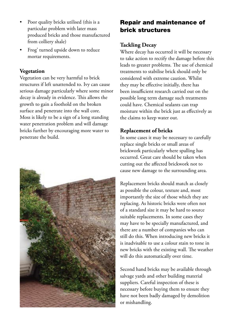- Poor quality bricks utilised (this is a particular problem with later mass produced bricks and those manufactured from colliery shale)
- Frog' turned upside down to reduce mortar requirements.

#### **Vegetation**

Vegetation can be very harmful to brick structures if left unattended to. Ivy can cause serious damage particularly where some minor decay is already in evidence. This allows the growth to gain a foothold on the broken surface and penetrate into the wall core. Moss is likely to be a sign of a long standing water penetration problem and will damage bricks further by encouraging more water to penetrate the build.



# Repair and maintenance of brick structures

#### **Tackling Decay**

Where decay has occurred it will be necessary to take action to rectify the damage before this leads to greater problems. The use of chemical treatments to stabilise brick should only be considered with extreme caution. Whilst they may be effective initially, there has been insufficient research carried out on the possible long term damage such treatments could have. Chemical sealants can trap moisture within the brick just as effectively as the claims to keep water out.

#### **Replacement of bricks**

In some cases it may be necessary to carefully replace single bricks or small areas of brickwork particularly where spalling has occurred. Great care should be taken when cutting out the affected brickwork not to cause new damage to the surrounding area.

Replacement bricks should match as closely as possible the colour, texture and, most importantly the size of those which they are replacing. As historic bricks were often not of a standard size it may be hard to source suitable replacements. In some cases they may have to be specially manufactured, and there are a number of companies who can still do this. When introducing new bricks it is inadvisable to use a colour stain to tone in new bricks with the existing wall. The weather will do this automatically over time.

Second hand bricks may be available through salvage yards and other building material suppliers. Careful inspection of these is necessary before buying them to ensure they have not been badly damaged by demolition or mishandling.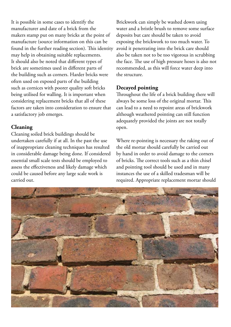It is possible in some cases to identify the manufacturer and date of a brick from the makers stamp put on many bricks at the point of manufacture (source information on this can be found in the further reading section). This identity may help in obtaining suitable replacements. It should also be noted that different types of brick are sometimes used in different parts of the building such as corners. Harder bricks were often used on exposed parts of the building such as cornices with poorer quality soft bricks being utilised for walling. It is important when considering replacement bricks that all of these factors are taken into consideration to ensure that a satisfactory job emerges.

#### **Cleaning**

Cleaning soiled brick buildings should be undertaken carefully if at all. In the past the use of inappropriate cleaning techniques has resulted in considerable damage being done. If considered essential small scale tests should be employed to assess the effectiveness and likely damage which could be caused before any large scale work is carried out.

Brickwork can simply be washed down using water and a bristle brush to remove some surface deposits but care should be taken to avoid exposing the brickwork to too much water. To avoid it penetrating into the brick care should also be taken not to be too vigorous in scrubbing the face. The use of high pressure hoses is also not recommended, as this will force water deep into the structure.

#### **Decayed pointing**

Throughout the life of a brick building there will always be some loss of the original mortar. This can lead to a need to repoint areas of brickwork although weathered pointing can still function adequately provided the joints are not totally open.

Where re-pointing is necessary the raking out of the old mortar should carefully be carried out by hand in order to avoid damage to the corners of bricks. The correct tools such as a thin chisel and pointing tool should be used and in many instances the use of a skilled tradesman will be required. Appropriate replacement mortar should